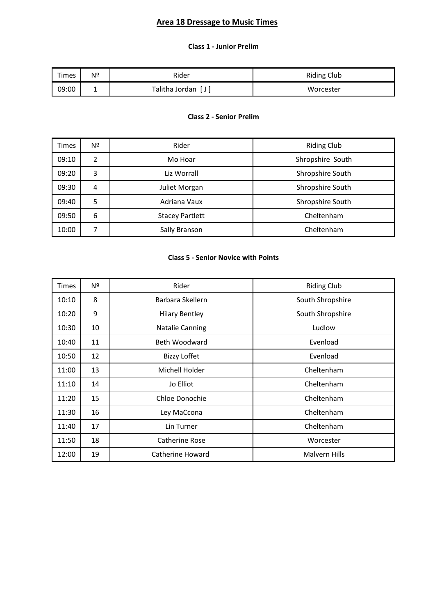# **Area 18 Dressage to Music Times**

## **Class 1 - Junior Prelim**

| Times | Nº | Rider                          | <b>Riding Club</b> |
|-------|----|--------------------------------|--------------------|
| 09:00 | -  | Talitha Jordan<br>$\mathsf{L}$ | Worcester          |

#### **Class 2 - Senior Prelim**

| <b>Times</b> | Nº | Rider                  | <b>Riding Club</b> |
|--------------|----|------------------------|--------------------|
| 09:10        | 2  | Mo Hoar                | Shropshire South   |
| 09:20        | 3  | Liz Worrall            | Shropshire South   |
| 09:30        | 4  | Juliet Morgan          | Shropshire South   |
| 09:40        | 5  | Adriana Vaux           | Shropshire South   |
| 09:50        | 6  | <b>Stacey Partlett</b> | Cheltenham         |
| 10:00        |    | Sally Branson          | Cheltenham         |

#### **Class 5 - Senior Novice with Points**

| Times | Nº | Rider                  | <b>Riding Club</b> |
|-------|----|------------------------|--------------------|
| 10:10 | 8  | Barbara Skellern       | South Shropshire   |
| 10:20 | 9  | <b>Hilary Bentley</b>  | South Shropshire   |
| 10:30 | 10 | <b>Natalie Canning</b> | Ludlow             |
| 10:40 | 11 | Beth Woodward          | Evenload           |
| 10:50 | 12 | <b>Bizzy Loffet</b>    | Evenload           |
| 11:00 | 13 | Michell Holder         | Cheltenham         |
| 11:10 | 14 | Jo Elliot              | Cheltenham         |
| 11:20 | 15 | Chloe Donochie         | Cheltenham         |
| 11:30 | 16 | Ley MaCcona            | Cheltenham         |
| 11:40 | 17 | Lin Turner             | Cheltenham         |
| 11:50 | 18 | Catherine Rose         | Worcester          |
| 12:00 | 19 | Catherine Howard       | Malvern Hills      |